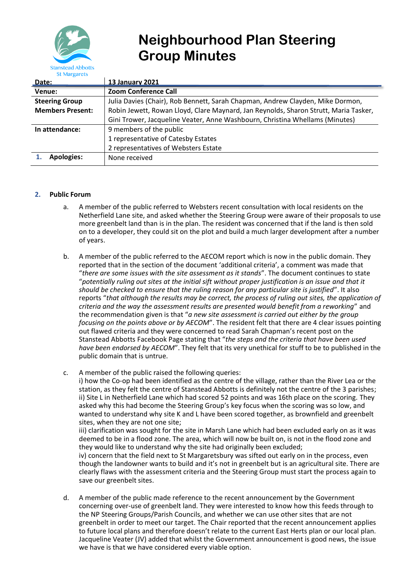

# **Neighbourhood Plan Steering Group Minutes**

| Date:                   | <b>13 January 2021</b>                                                               |
|-------------------------|--------------------------------------------------------------------------------------|
| Venue:                  | <b>Zoom Conference Call</b>                                                          |
| <b>Steering Group</b>   | Julia Davies (Chair), Rob Bennett, Sarah Chapman, Andrew Clayden, Mike Dormon,       |
| <b>Members Present:</b> | Robin Jewett, Rowan Lloyd, Clare Maynard, Jan Reynolds, Sharon Strutt, Maria Tasker, |
|                         | Gini Trower, Jacqueline Veater, Anne Washbourn, Christina Whellams (Minutes)         |
| In attendance:          | 9 members of the public                                                              |
|                         | 1 representative of Catesby Estates                                                  |
|                         | 2 representatives of Websters Estate                                                 |
| <b>Apologies:</b>       | None received                                                                        |

## **2. Public Forum**

- a. A member of the public referred to Websters recent consultation with local residents on the Netherfield Lane site, and asked whether the Steering Group were aware of their proposals to use more greenbelt land than is in the plan. The resident was concerned that if the land is then sold on to a developer, they could sit on the plot and build a much larger development after a number of years.
- b. A member of the public referred to the AECOM report which is now in the public domain. They reported that in the section of the document 'additional criteria', a comment was made that "*there are some issues with the site assessment as it stands*". The document continues to state "*potentially ruling out sites at the initial sift without proper justification is an issue and that it should be checked to ensure that the ruling reason for any particular site is justified*". It also reports "*that although the results may be correct, the process of ruling out sites, the application of criteria and the way the assessment results are presented would benefit from a reworking*" and the recommendation given is that "*a new site assessment is carried out either by the group focusing on the points above or by AECOM*". The resident felt that there are 4 clear issues pointing out flawed criteria and they were concerned to read Sarah Chapman's recent post on the Stanstead Abbotts Facebook Page stating that "*the steps and the criteria that have been used have been endorsed by AECOM*". They felt that its very unethical for stuff to be to published in the public domain that is untrue.
- c. A member of the public raised the following queries: i) how the Co-op had been identified as the centre of the village, rather than the River Lea or the station, as they felt the centre of Stanstead Abbotts is definitely not the centre of the 3 parishes; ii) Site L in Netherfield Lane which had scored 52 points and was 16th place on the scoring. They asked why this had become the Steering Group's key focus when the scoring was so low, and wanted to understand why site K and L have been scored together, as brownfield and greenbelt sites, when they are not one site; iii) clarification was sought for the site in Marsh Lane which had been excluded early on as it was deemed to be in a flood zone. The area, which will now be built on, is not in the flood zone and they would like to understand why the site had originally been excluded; iv) concern that the field next to St Margaretsbury was sifted out early on in the process, even though the landowner wants to build and it's not in greenbelt but is an agricultural site. There are clearly flaws with the assessment criteria and the Steering Group must start the process again to save our greenbelt sites.
- d. A member of the public made reference to the recent announcement by the Government concerning over-use of greenbelt land. They were interested to know how this feeds through to the NP Steering Groups/Parish Councils, and whether we can use other sites that are not greenbelt in order to meet our target. The Chair reported that the recent announcement applies to future local plans and therefore doesn't relate to the current East Herts plan or our local plan. Jacqueline Veater (JV) added that whilst the Government announcement is good news, the issue we have is that we have considered every viable option.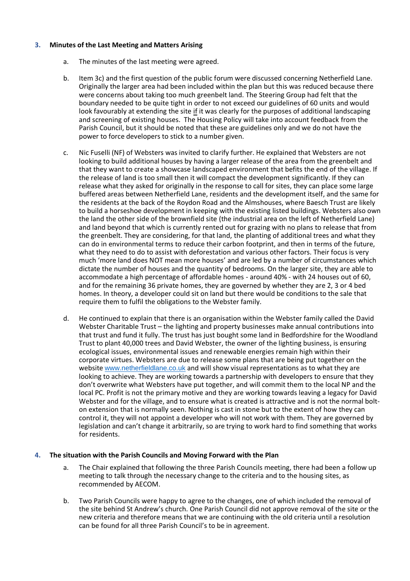### **3. Minutes of the Last Meeting and Matters Arising**

- a. The minutes of the last meeting were agreed.
- b. Item 3c) and the first question of the public forum were discussed concerning Netherfield Lane. Originally the larger area had been included within the plan but this was reduced because there were concerns about taking too much greenbelt land. The Steering Group had felt that the boundary needed to be quite tight in order to not exceed our guidelines of 60 units and would look favourably at extending the site if it was clearly for the purposes of additional landscaping and screening of existing houses. The Housing Policy will take into account feedback from the Parish Council, but it should be noted that these are guidelines only and we do not have the power to force developers to stick to a number given.
- c. Nic Fuselli (NF) of Websters was invited to clarify further. He explained that Websters are not looking to build additional houses by having a larger release of the area from the greenbelt and that they want to create a showcase landscaped environment that befits the end of the village. If the release of land is too small then it will compact the development significantly. If they can release what they asked for originally in the response to call for sites, they can place some large buffered areas between Netherfield Lane, residents and the development itself, and the same for the residents at the back of the Roydon Road and the Almshouses, where Baesch Trust are likely to build a horseshoe development in keeping with the existing listed buildings. Websters also own the land the other side of the brownfield site (the industrial area on the left of Netherfield Lane) and land beyond that which is currently rented out for grazing with no plans to release that from the greenbelt. They are considering, for that land, the planting of additional trees and what they can do in environmental terms to reduce their carbon footprint, and then in terms of the future, what they need to do to assist with deforestation and various other factors. Their focus is very much 'more land does NOT mean more houses' and are led by a number of circumstances which dictate the number of houses and the quantity of bedrooms. On the larger site, they are able to accommodate a high percentage of affordable homes - around 40% - with 24 houses out of 60, and for the remaining 36 private homes, they are governed by whether they are 2, 3 or 4 bed homes. In theory, a developer could sit on land but there would be conditions to the sale that require them to fulfil the obligations to the Webster family.
- d. He continued to explain that there is an organisation within the Webster family called the David Webster Charitable Trust – the lighting and property businesses make annual contributions into that trust and fund it fully. The trust has just bought some land in Bedfordshire for the Woodland Trust to plant 40,000 trees and David Webster, the owner of the lighting business, is ensuring ecological issues, environmental issues and renewable energies remain high within their corporate virtues. Websters are due to release some plans that are being put together on the website [www.netherfieldlane.co.uk](http://www.netherfieldlane.co.uk/) and will show visual representations as to what they are looking to achieve. They are working towards a partnership with developers to ensure that they don't overwrite what Websters have put together, and will commit them to the local NP and the local PC. Profit is not the primary motive and they are working towards leaving a legacy for David Webster and for the village, and to ensure what is created is attractive and is not the normal bolton extension that is normally seen. Nothing is cast in stone but to the extent of how they can control it, they will not appoint a developer who will not work with them. They are governed by legislation and can't change it arbitrarily, so are trying to work hard to find something that works for residents.

#### **4. The situation with the Parish Councils and Moving Forward with the Plan**

- a. The Chair explained that following the three Parish Councils meeting, there had been a follow up meeting to talk through the necessary change to the criteria and to the housing sites, as recommended by AECOM.
- b. Two Parish Councils were happy to agree to the changes, one of which included the removal of the site behind St Andrew's church. One Parish Council did not approve removal of the site or the new criteria and therefore means that we are continuing with the old criteria until a resolution can be found for all three Parish Council's to be in agreement.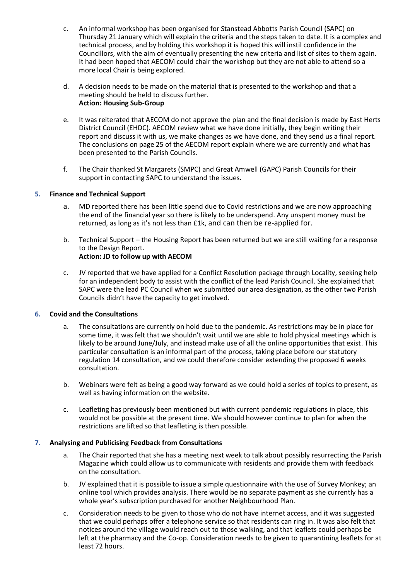- c. An informal workshop has been organised for Stanstead Abbotts Parish Council (SAPC) on Thursday 21 January which will explain the criteria and the steps taken to date. It is a complex and technical process, and by holding this workshop it is hoped this will instil confidence in the Councillors, with the aim of eventually presenting the new criteria and list of sites to them again. It had been hoped that AECOM could chair the workshop but they are not able to attend so a more local Chair is being explored.
- d. A decision needs to be made on the material that is presented to the workshop and that a meeting should be held to discuss further. **Action: Housing Sub-Group**
- e. It was reiterated that AECOM do not approve the plan and the final decision is made by East Herts District Council (EHDC). AECOM review what we have done initially, they begin writing their report and discuss it with us, we make changes as we have done, and they send us a final report. The conclusions on page 25 of the AECOM report explain where we are currently and what has been presented to the Parish Councils.
- f. The Chair thanked St Margarets (SMPC) and Great Amwell (GAPC) Parish Councils for their support in contacting SAPC to understand the issues.

#### **5. Finance and Technical Support**

- a. MD reported there has been little spend due to Covid restrictions and we are now approaching the end of the financial year so there is likely to be underspend. Any unspent money must be returned, as long as it's not less than £1k, and can then be re-applied for.
- b. Technical Support the Housing Report has been returned but we are still waiting for a response to the Design Report. **Action: JD to follow up with AECOM**
- c. JV reported that we have applied for a Conflict Resolution package through Locality, seeking help for an independent body to assist with the conflict of the lead Parish Council. She explained that SAPC were the lead PC Council when we submitted our area designation, as the other two Parish Councils didn't have the capacity to get involved.

#### **6. Covid and the Consultations**

- a. The consultations are currently on hold due to the pandemic. As restrictions may be in place for some time, it was felt that we shouldn't wait until we are able to hold physical meetings which is likely to be around June/July, and instead make use of all the online opportunities that exist. This particular consultation is an informal part of the process, taking place before our statutory regulation 14 consultation, and we could therefore consider extending the proposed 6 weeks consultation.
- b. Webinars were felt as being a good way forward as we could hold a series of topics to present, as well as having information on the website.
- c. Leafleting has previously been mentioned but with current pandemic regulations in place, this would not be possible at the present time. We should however continue to plan for when the restrictions are lifted so that leafleting is then possible.

#### **7. Analysing and Publicising Feedback from Consultations**

- a. The Chair reported that she has a meeting next week to talk about possibly resurrecting the Parish Magazine which could allow us to communicate with residents and provide them with feedback on the consultation.
- b. JV explained that it is possible to issue a simple questionnaire with the use of Survey Monkey; an online tool which provides analysis. There would be no separate payment as she currently has a whole year's subscription purchased for another Neighbourhood Plan.
- c. Consideration needs to be given to those who do not have internet access, and it was suggested that we could perhaps offer a telephone service so that residents can ring in. It was also felt that notices around the village would reach out to those walking, and that leaflets could perhaps be left at the pharmacy and the Co-op. Consideration needs to be given to quarantining leaflets for at least 72 hours.